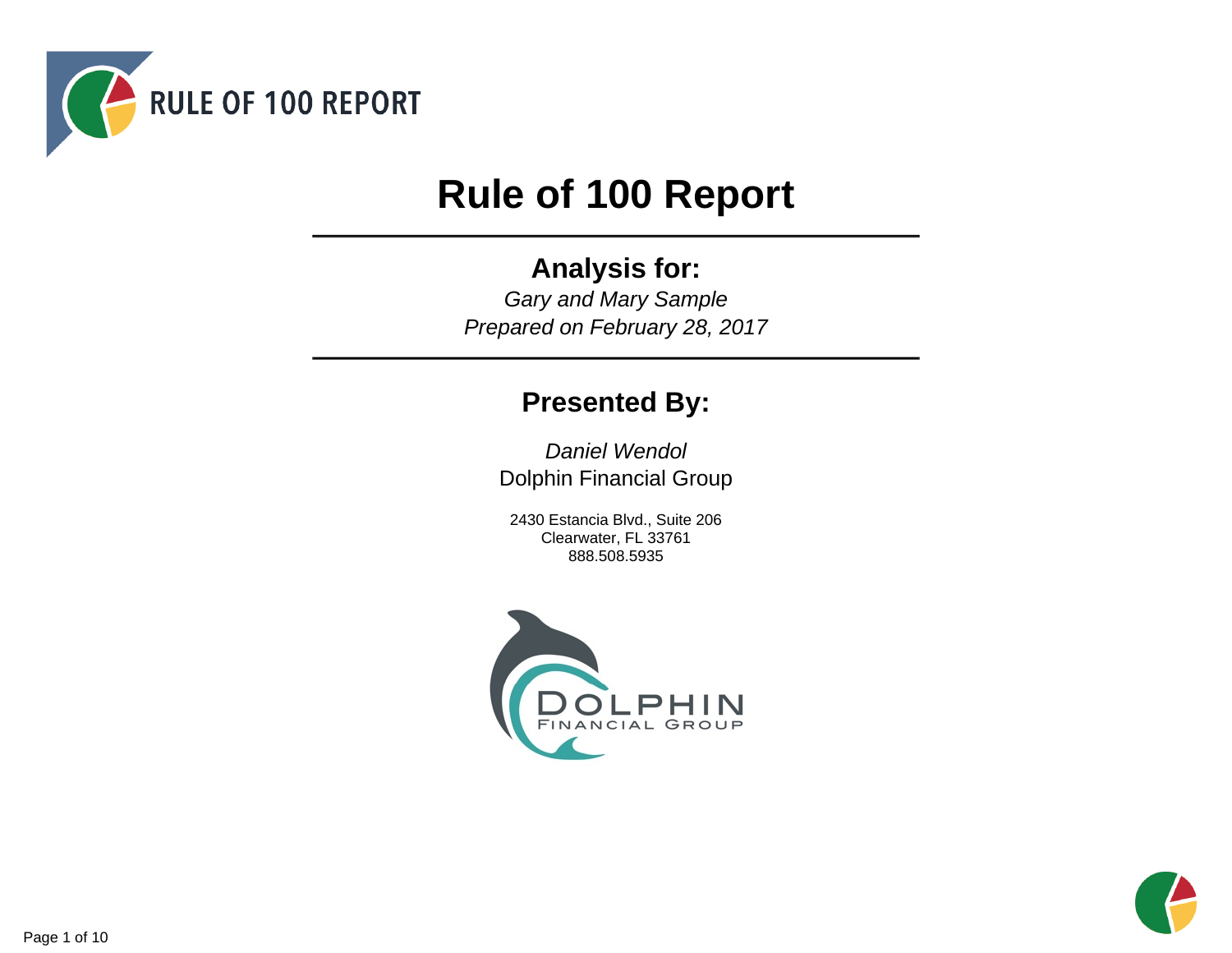

# **Rule of 100 Report**

# **Analysis for:**

Gary and Mary Sample Prepared on February 28, 2017

# **Presented By:**

Daniel Wendol Dolphin Financial Group

2430 Estancia Blvd., Suite 206 Clearwater, FL 33761 888.508.5935



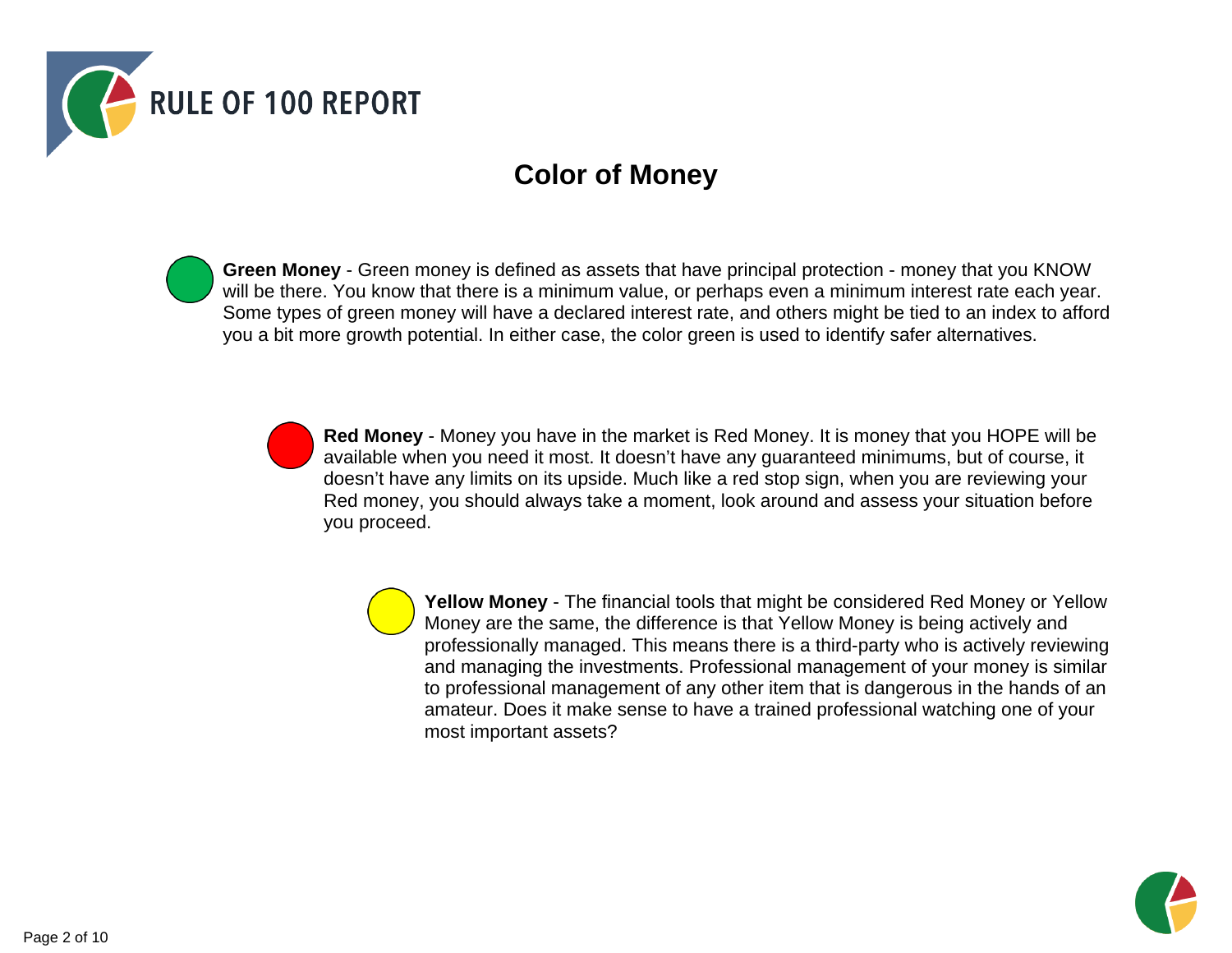

# **Color of Money**

**Green Money** - Green money is defined as assets that have principal protection - money that you KNOW will be there. You know that there is a minimum value, or perhaps even a minimum interest rate each year. Some types of green money will have a declared interest rate, and others might be tied to an index to afford you a bit more growth potential. In either case, the color green is used to identify safer alternatives.

> **Red Money** - Money you have in the market is Red Money. It is money that you HOPE will be available when you need it most. It doesn't have any guaranteed minimums, but of course, it doesn't have any limits on its upside. Much like a red stop sign, when you are reviewing your Red money, you should always take a moment, look around and assess your situation before you proceed.

> > **Yellow Money** - The financial tools that might be considered Red Money or Yellow Money are the same, the difference is that Yellow Money is being actively and professionally managed. This means there is a third-party who is actively reviewing and managing the investments. Professional management of your money is similar to professional management of any other item that is dangerous in the hands of an amateur. Does it make sense to have a trained professional watching one of your most important assets?

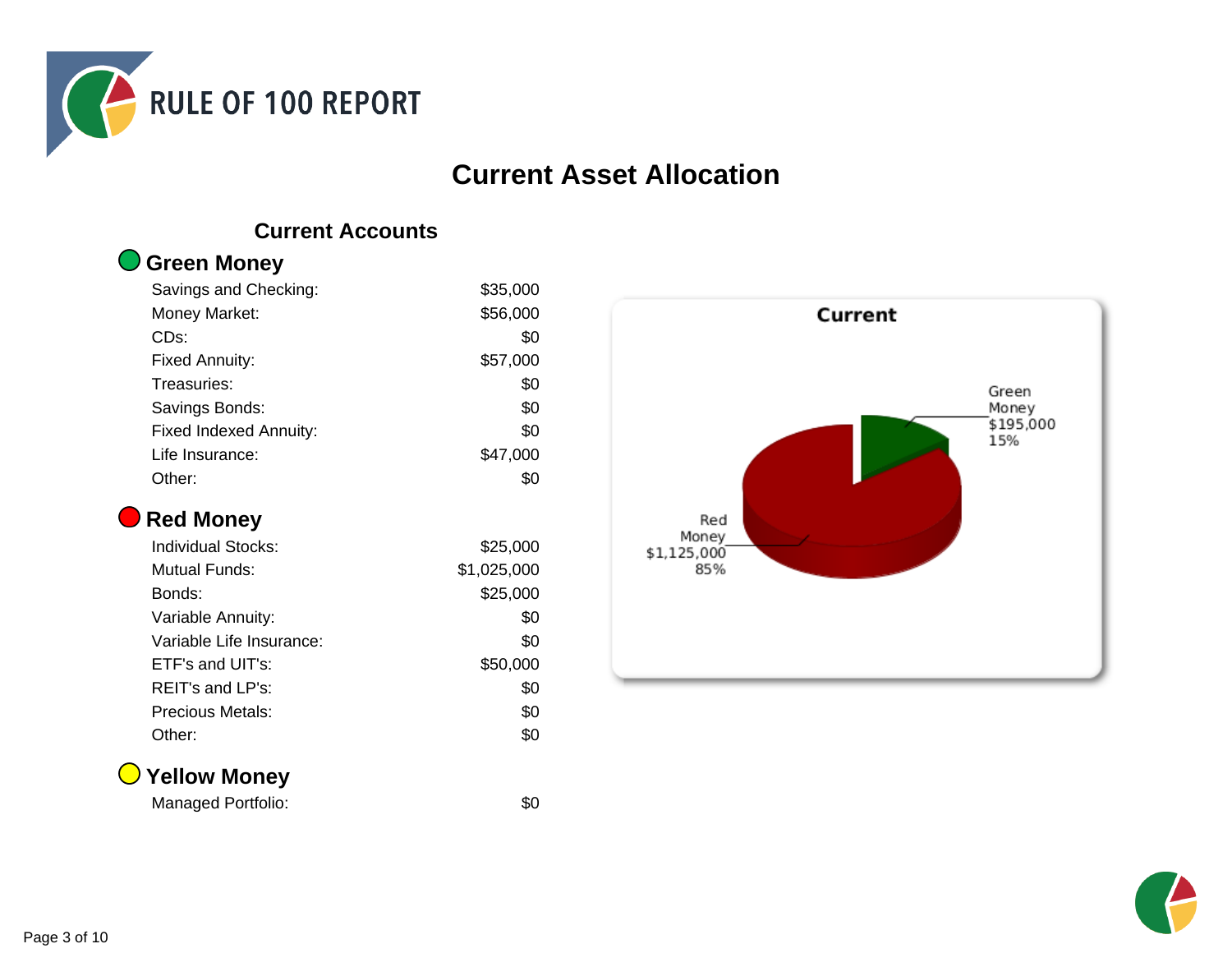

### **Current Asset Allocation**

### **Current Accounts**

| <b>O</b> Green Money |
|----------------------|
|                      |

| Savings and Checking:         | \$35,000 |
|-------------------------------|----------|
| Money Market:                 | \$56,000 |
| CD <sub>s:</sub>              | \$0      |
| <b>Fixed Annuity:</b>         | \$57,000 |
| Treasuries:                   | \$0      |
| Savings Bonds:                | \$0      |
| <b>Fixed Indexed Annuity:</b> | \$0      |
| Life Insurance:               | \$47,000 |
| Other:                        | \$0      |

### **Red Money**

| <b>Individual Stocks:</b> | \$25,000    |
|---------------------------|-------------|
| Mutual Funds:             | \$1,025,000 |
| Bonds:                    | \$25,000    |
| Variable Annuity:         | \$0         |
| Variable Life Insurance:  | \$0         |
| ETF's and UIT's:          | \$50,000    |
| $REIT's$ and $LP's$ :     | \$0         |
| Precious Metals:          | \$0         |
| Other:                    | \$0         |

### **Yellow Money**

Managed Portfolio: \$0



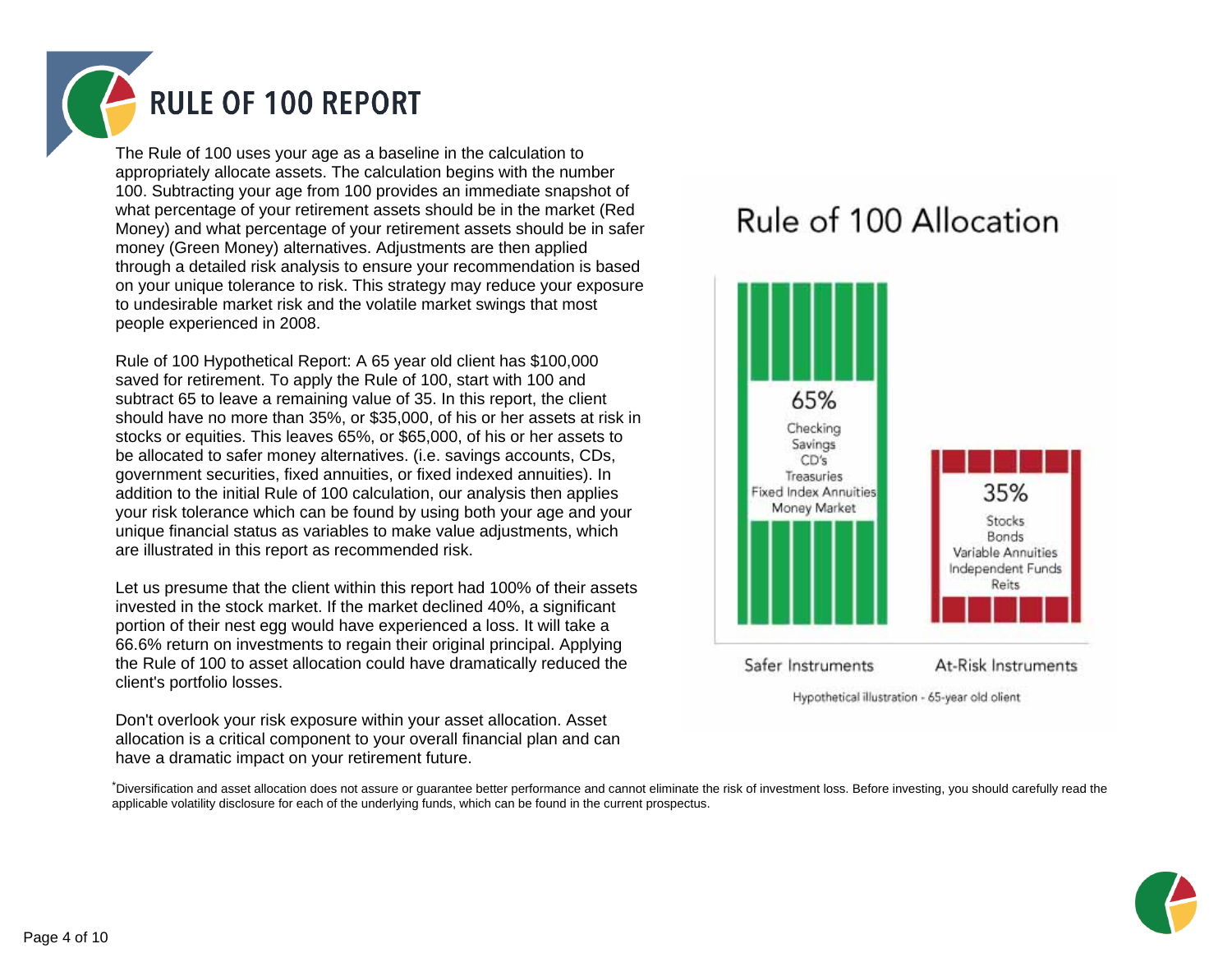

The Rule of 100 uses your age as a baseline in the calculation to appropriately allocate assets. The calculation begins with the number 100. Subtracting your age from 100 provides an immediate snapshot of what percentage of your retirement assets should be in the market (Red Money) and what percentage of your retirement assets should be in safer money (Green Money) alternatives. Adjustments are then applied through a detailed risk analysis to ensure your recommendation is based on your unique tolerance to risk. This strategy may reduce your exposure to undesirable market risk and the volatile market swings that most people experienced in 2008.

Rule of 100 Hypothetical Report: A 65 year old client has \$100,000 saved for retirement. To apply the Rule of 100, start with 100 and subtract 65 to leave a remaining value of 35. In this report, the client should have no more than 35%, or \$35,000, of his or her assets at risk in stocks or equities. This leaves 65%, or \$65,000, of his or her assets to be allocated to safer money alternatives. (i.e. savings accounts, CDs, government securities, fixed annuities, or fixed indexed annuities). In addition to the initial Rule of 100 calculation, our analysis then applies your risk tolerance which can be found by using both your age and your unique financial status as variables to make value adjustments, which are illustrated in this report as recommended risk.

Let us presume that the client within this report had 100% of their assets invested in the stock market. If the market declined 40%, a significant portion of their nest egg would have experienced a loss. It will take a 66.6% return on investments to regain their original principal. Applying the Rule of 100 to asset allocation could have dramatically reduced the client's portfolio losses.

Don't overlook your risk exposure within your asset allocation. Asset allocation is a critical component to your overall financial plan and can have a dramatic impact on your retirement future.

# Rule of 100 Allocation



Hypothetical illustration - 65-year old olient

\*Diversification and asset allocation does not assure or guarantee better performance and cannot eliminate the risk of investment loss. Before investing, you should carefully read the applicable volatility disclosure for each of the underlying funds, which can be found in the current prospectus.

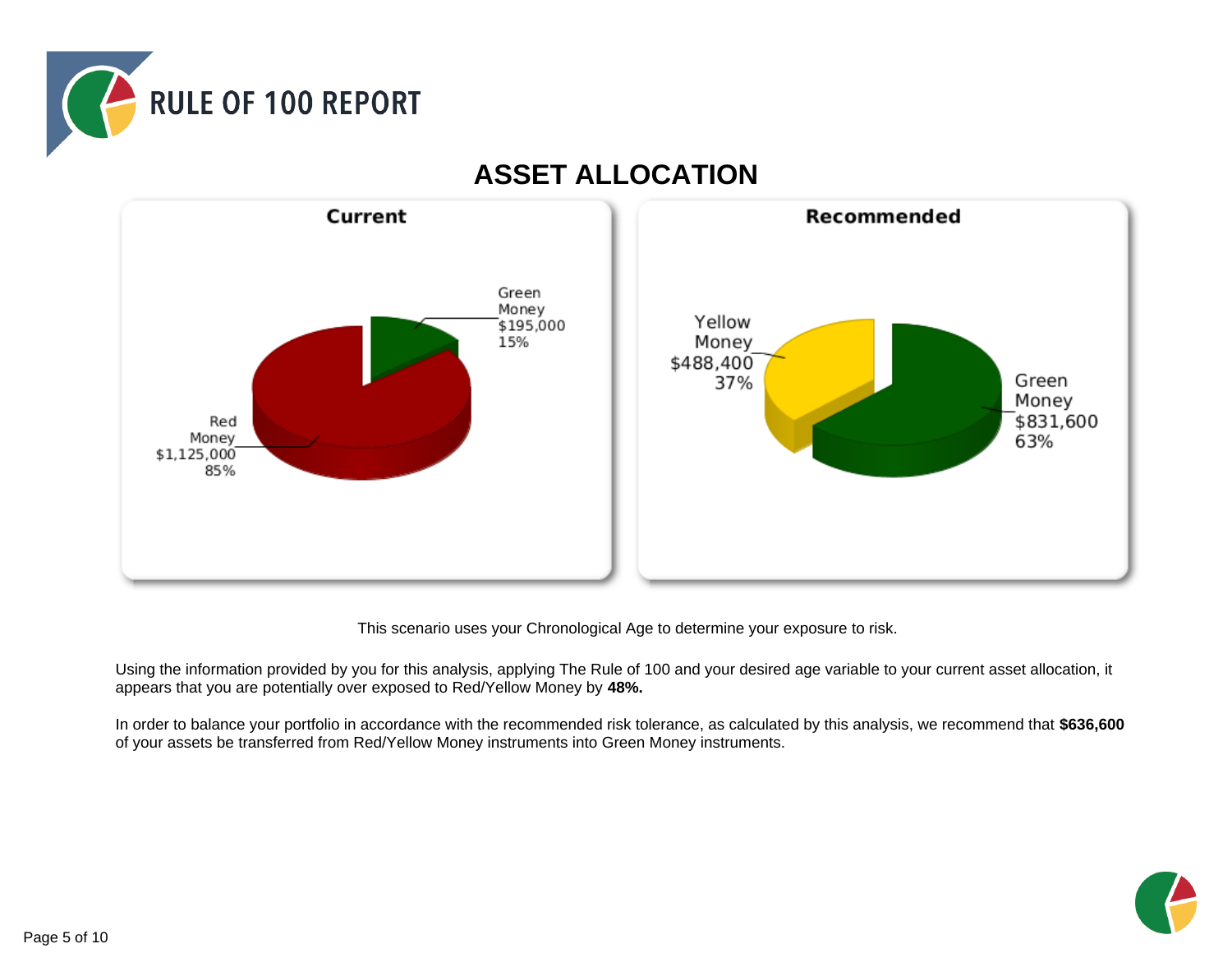



### **ASSET ALLOCATION**

This scenario uses your Chronological Age to determine your exposure to risk.

Using the information provided by you for this analysis, applying The Rule of 100 and your desired age variable to your current asset allocation, it appears that you are potentially over exposed to Red/Yellow Money by **48%.**

In order to balance your portfolio in accordance with the recommended risk tolerance, as calculated by this analysis, we recommend that **\$636,600** of your assets be transferred from Red/Yellow Money instruments into Green Money instruments.

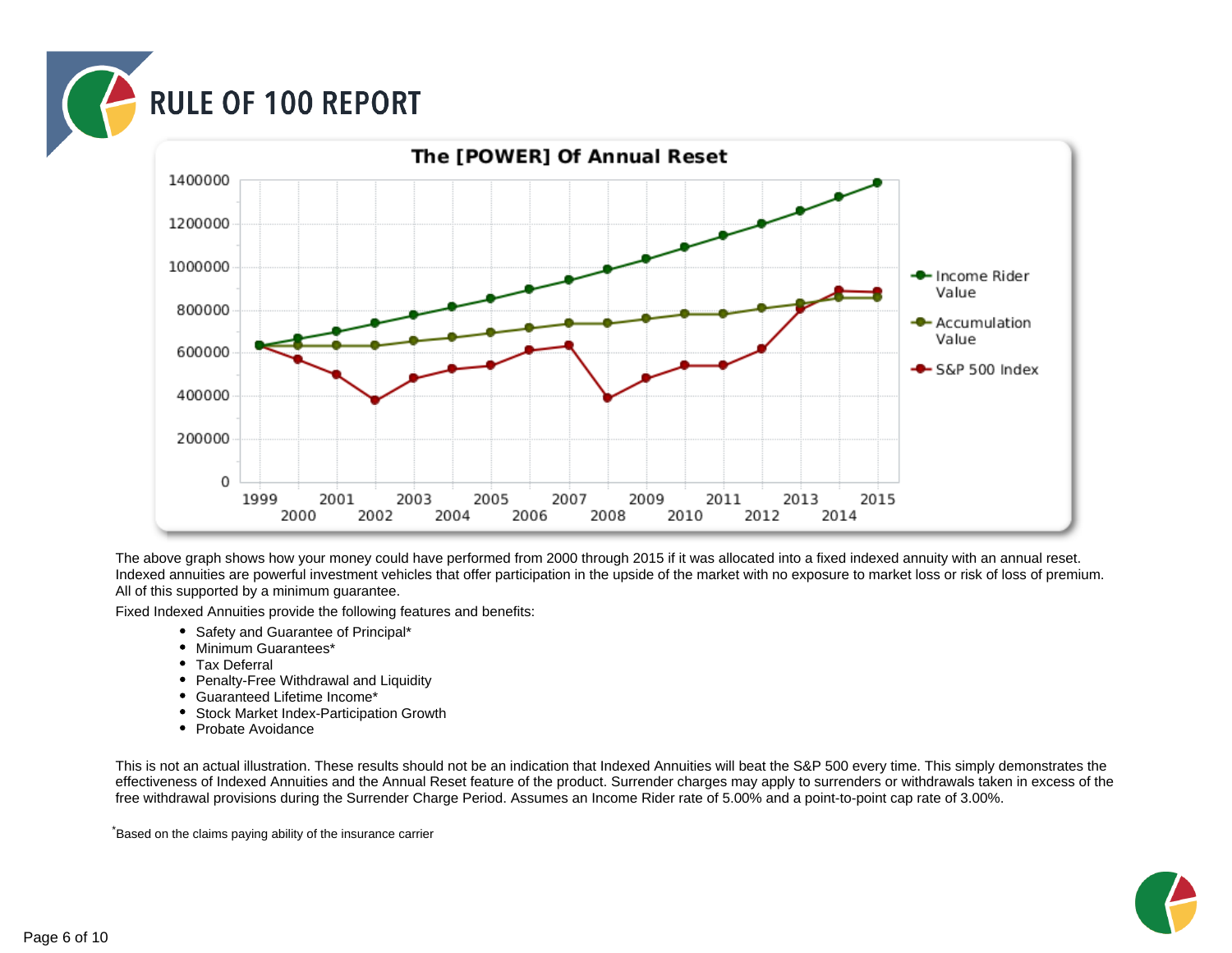



The above graph shows how your money could have performed from 2000 through 2015 if it was allocated into a fixed indexed annuity with an annual reset. Indexed annuities are powerful investment vehicles that offer participation in the upside of the market with no exposure to market loss or risk of loss of premium. All of this supported by a minimum guarantee.

Fixed Indexed Annuities provide the following features and benefits:

- Safety and Guarantee of Principal\*
- Minimum Guarantees\*
- Tax Deferral
- Penalty-Free Withdrawal and Liquidity
- Guaranteed Lifetime Income\*
- Stock Market Index-Participation Growth
- Probate Avoidance

This is not an actual illustration. These results should not be an indication that Indexed Annuities will beat the S&P 500 every time. This simply demonstrates the effectiveness of Indexed Annuities and the Annual Reset feature of the product. Surrender charges may apply to surrenders or withdrawals taken in excess of the free withdrawal provisions during the Surrender Charge Period. Assumes an Income Rider rate of 5.00% and a point-to-point cap rate of 3.00%.

\*Based on the claims paying ability of the insurance carrier

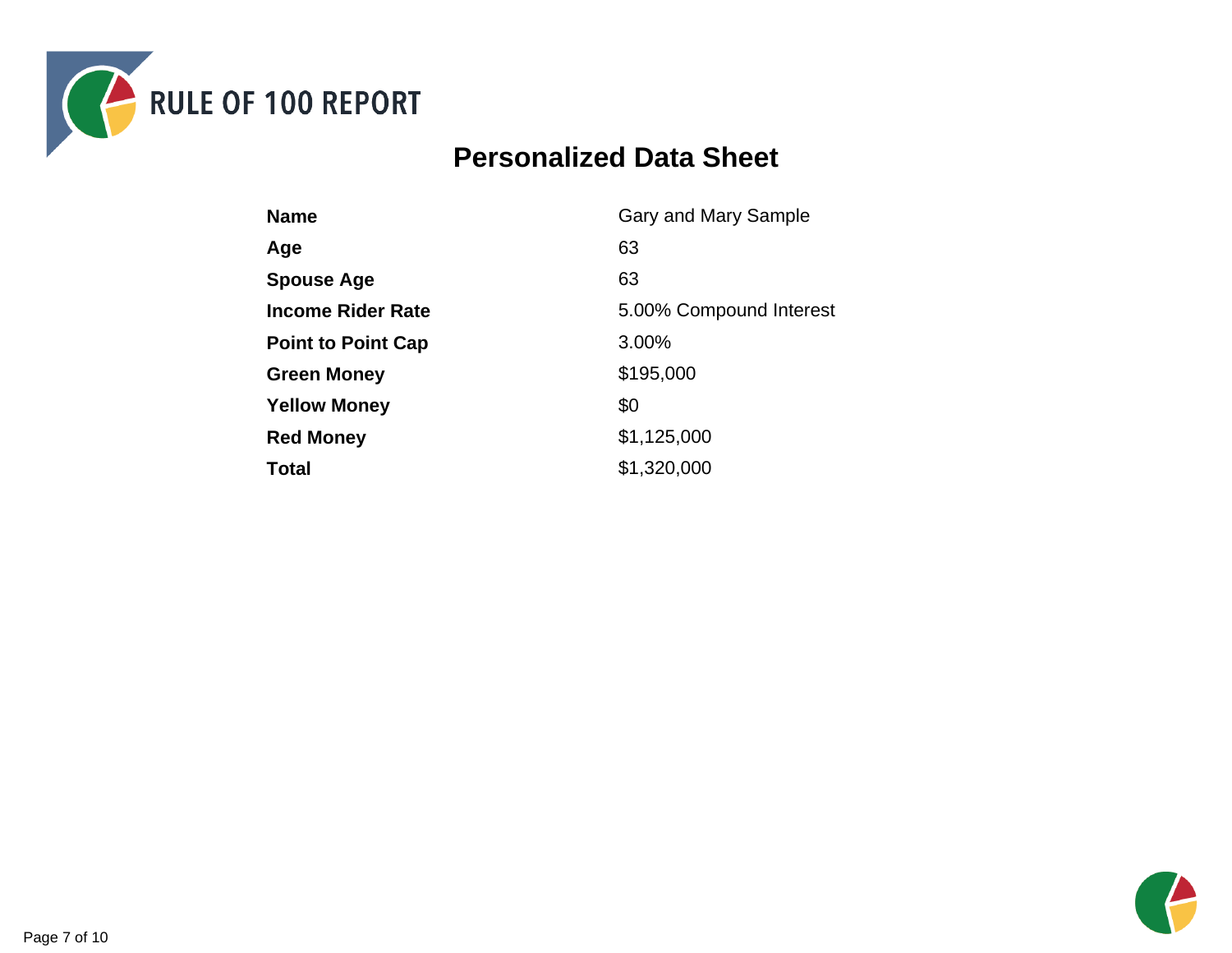

# **Personalized Data Sheet**

| <b>Name</b>               | Gary and Mary Sample    |
|---------------------------|-------------------------|
| Age                       | 63                      |
| <b>Spouse Age</b>         | 63                      |
| <b>Income Rider Rate</b>  | 5.00% Compound Interest |
| <b>Point to Point Cap</b> | 3.00%                   |
| <b>Green Money</b>        | \$195,000               |
| <b>Yellow Money</b>       | \$0                     |
| <b>Red Money</b>          | \$1,125,000             |
| <b>Total</b>              | \$1,320,000             |

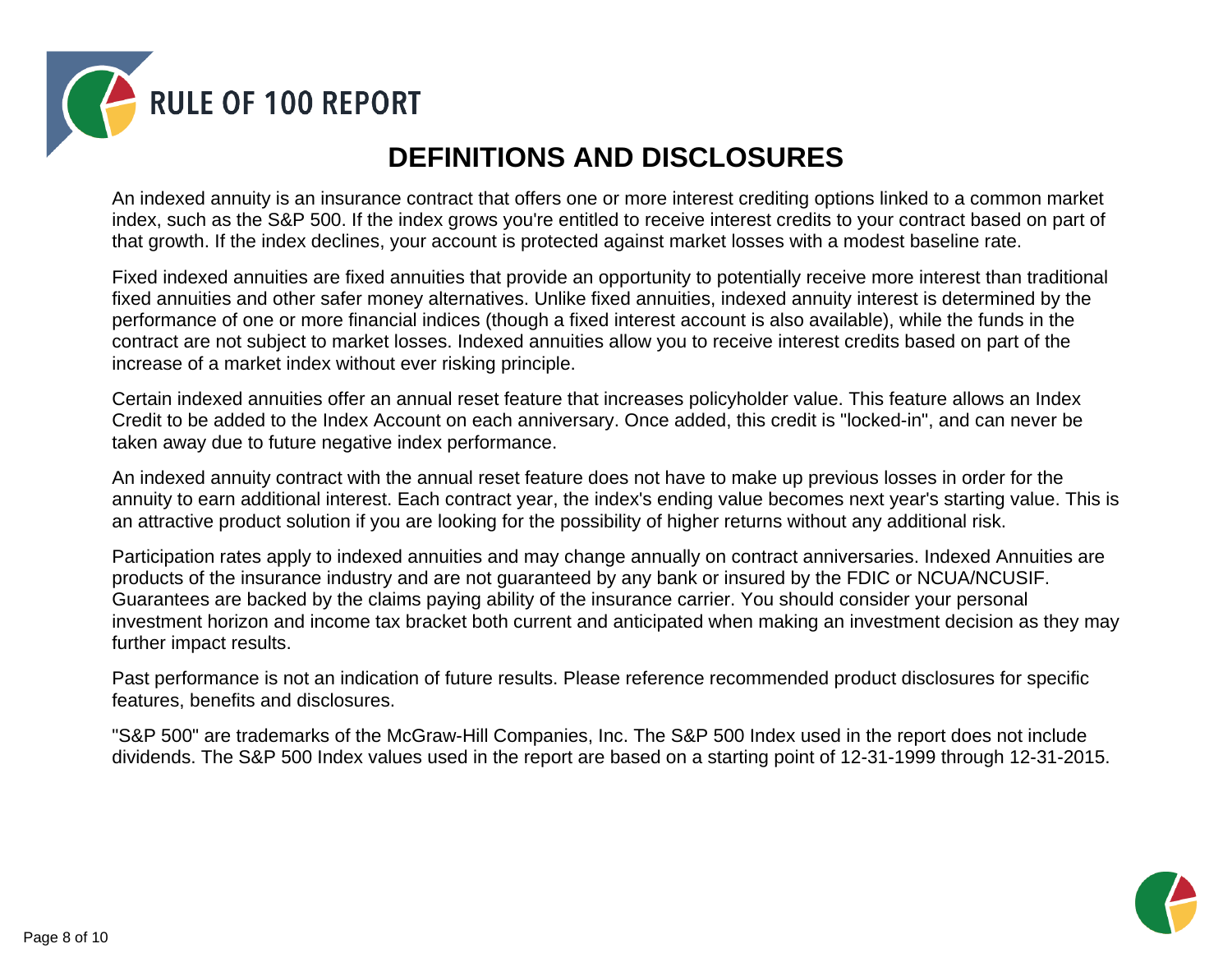

# **DEFINITIONS AND DISCLOSURES**

An indexed annuity is an insurance contract that offers one or more interest crediting options linked to a common market index, such as the S&P 500. If the index grows you're entitled to receive interest credits to your contract based on part of that growth. If the index declines, your account is protected against market losses with a modest baseline rate.

Fixed indexed annuities are fixed annuities that provide an opportunity to potentially receive more interest than traditional fixed annuities and other safer money alternatives. Unlike fixed annuities, indexed annuity interest is determined by the performance of one or more financial indices (though a fixed interest account is also available), while the funds in the contract are not subject to market losses. Indexed annuities allow you to receive interest credits based on part of the increase of a market index without ever risking principle.

Certain indexed annuities offer an annual reset feature that increases policyholder value. This feature allows an Index Credit to be added to the Index Account on each anniversary. Once added, this credit is "locked-in", and can never be taken away due to future negative index performance.

An indexed annuity contract with the annual reset feature does not have to make up previous losses in order for the annuity to earn additional interest. Each contract year, the index's ending value becomes next year's starting value. This is an attractive product solution if you are looking for the possibility of higher returns without any additional risk.

Participation rates apply to indexed annuities and may change annually on contract anniversaries. Indexed Annuities are products of the insurance industry and are not guaranteed by any bank or insured by the FDIC or NCUA/NCUSIF. Guarantees are backed by the claims paying ability of the insurance carrier. You should consider your personal investment horizon and income tax bracket both current and anticipated when making an investment decision as they may further impact results.

Past performance is not an indication of future results. Please reference recommended product disclosures for specific features, benefits and disclosures.

"S&P 500" are trademarks of the McGraw-Hill Companies, Inc. The S&P 500 Index used in the report does not include dividends. The S&P 500 Index values used in the report are based on a starting point of 12-31-1999 through 12-31-2015.

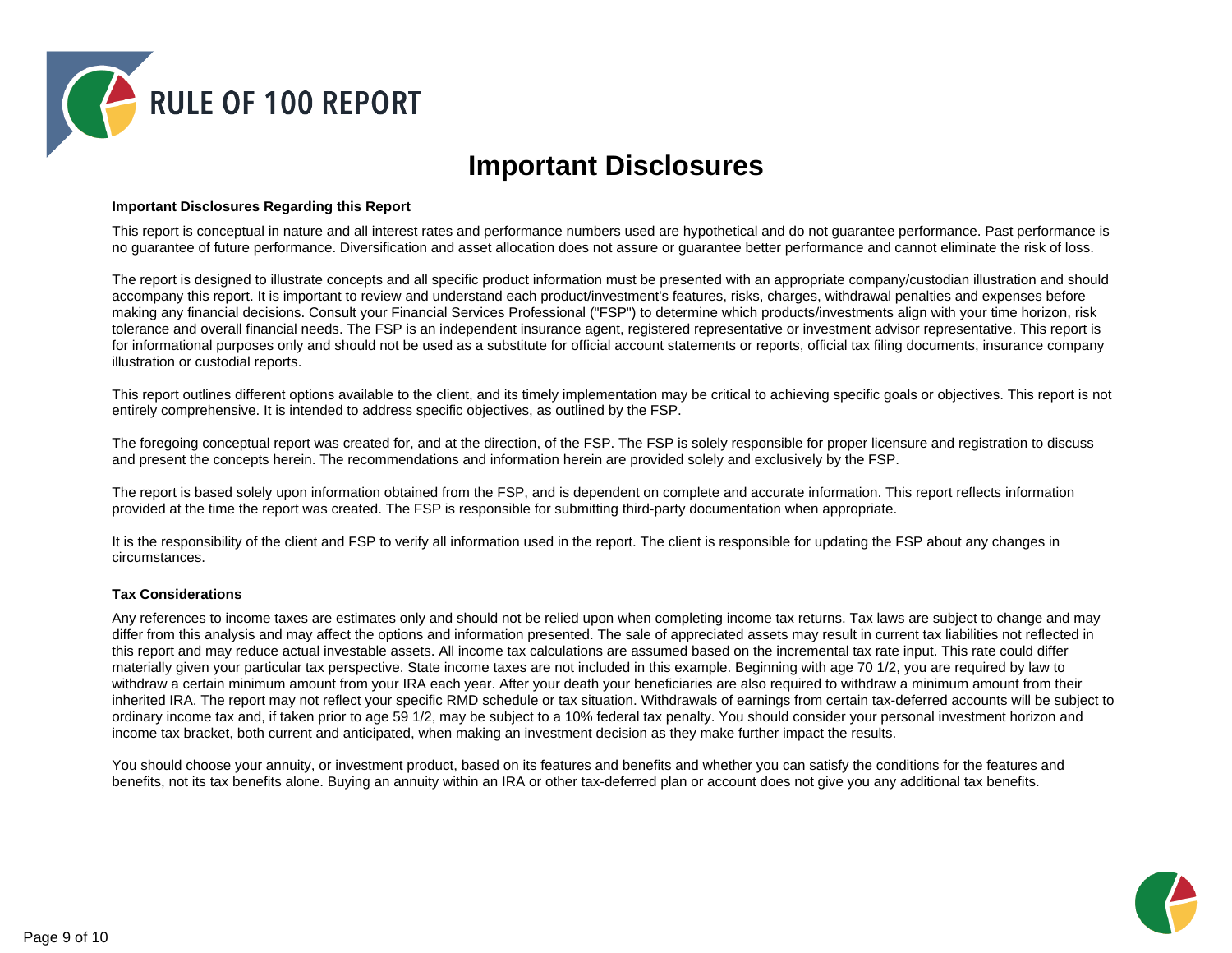

### **Important Disclosures**

#### **Important Disclosures Regarding this Report**

This report is conceptual in nature and all interest rates and performance numbers used are hypothetical and do not guarantee performance. Past performance is no guarantee of future performance. Diversification and asset allocation does not assure or guarantee better performance and cannot eliminate the risk of loss.

The report is designed to illustrate concepts and all specific product information must be presented with an appropriate company/custodian illustration and should accompany this report. It is important to review and understand each product/investment's features, risks, charges, withdrawal penalties and expenses before making any financial decisions. Consult your Financial Services Professional ("FSP") to determine which products/investments align with your time horizon, risk tolerance and overall financial needs. The FSP is an independent insurance agent, registered representative or investment advisor representative. This report is for informational purposes only and should not be used as a substitute for official account statements or reports, official tax filing documents, insurance company illustration or custodial reports.

This report outlines different options available to the client, and its timely implementation may be critical to achieving specific goals or objectives. This report is not entirely comprehensive. It is intended to address specific objectives, as outlined by the FSP.

The foregoing conceptual report was created for, and at the direction, of the FSP. The FSP is solely responsible for proper licensure and registration to discuss and present the concepts herein. The recommendations and information herein are provided solely and exclusively by the FSP.

The report is based solely upon information obtained from the FSP, and is dependent on complete and accurate information. This report reflects information provided at the time the report was created. The FSP is responsible for submitting third-party documentation when appropriate.

It is the responsibility of the client and FSP to verify all information used in the report. The client is responsible for updating the FSP about any changes in circumstances.

#### **Tax Considerations**

Any references to income taxes are estimates only and should not be relied upon when completing income tax returns. Tax laws are subject to change and may differ from this analysis and may affect the options and information presented. The sale of appreciated assets may result in current tax liabilities not reflected in this report and may reduce actual investable assets. All income tax calculations are assumed based on the incremental tax rate input. This rate could differ materially given your particular tax perspective. State income taxes are not included in this example. Beginning with age 70 1/2, you are required by law to withdraw a certain minimum amount from your IRA each year. After your death your beneficiaries are also required to withdraw a minimum amount from their inherited IRA. The report may not reflect your specific RMD schedule or tax situation. Withdrawals of earnings from certain tax-deferred accounts will be subject to ordinary income tax and, if taken prior to age 59 1/2, may be subject to a 10% federal tax penalty. You should consider your personal investment horizon and income tax bracket, both current and anticipated, when making an investment decision as they make further impact the results.

You should choose your annuity, or investment product, based on its features and benefits and whether you can satisfy the conditions for the features and benefits, not its tax benefits alone. Buying an annuity within an IRA or other tax-deferred plan or account does not give you any additional tax benefits.